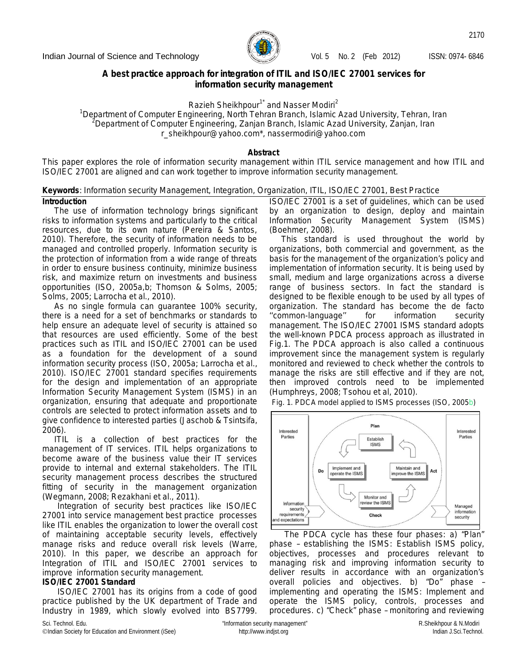

2170

## **A best practice approach for integration of ITIL and ISO/IEC 27001 services for information security management**

Razieh Sheikhpour<sup>1\*</sup> and Nasser Modiri<sup>2</sup>

*<sup>1</sup>Department of Computer Engineering, North Tehran Branch, Islamic Azad University, Tehran, Iran <sup>2</sup>Department of Computer Engineering, Zanjan Branch, Islamic Azad University, Zanjan, Iran* r\_sheikhpour@yahoo.com\*, nassermodiri@yahoo.com

### **Abstract**

This paper explores the role of information security management within ITIL service management and how ITIL and ISO/IEC 27001 are aligned and can work together to improve information security management.

## **Keywords**: Information security Management, Integration, Organization, ITIL, ISO/IEC 27001, Best Practice

## **Introduction**

The use of information technology brings significant risks to information systems and particularly to the critical resources, due to its own nature (Pereira & Santos, 2010). Therefore, the security of information needs to be managed and controlled properly. Information security is the protection of information from a wide range of threats in order to ensure business continuity, minimize business risk, and maximize return on investments and business opportunities (ISO, 2005a,b; Thomson & Solms, 2005; Solms, 2005; Larrocha *et al.,* 2010).

As no single formula can guarantee 100% security, there is a need for a set of benchmarks or standards to help ensure an adequate level of security is attained so that resources are used efficiently. Some of the best practices such as ITIL and ISO/IEC 27001 can be used as a foundation for the development of a sound information security process (ISO, 2005a; Larrocha *et al.*, 2010). ISO/IEC 27001 standard specifies requirements for the design and implementation of an appropriate Information Security Management System (ISMS) in an organization, ensuring that adequate and proportionate controls are selected to protect information assets and to give confidence to interested parties (Jaschob & Tsintsifa, 2006).

ITIL is a collection of best practices for the management of IT services. ITIL helps organizations to become aware of the business value their IT services provide to internal and external stakeholders. The ITIL security management process describes the structured fitting of security in the management organization (Wegmann, 2008; Rezakhani *et al.*, 2011).

Integration of security best practices like ISO/IEC 27001 into service management best practice processes like ITIL enables the organization to lower the overall cost of maintaining acceptable security levels, effectively manage risks and reduce overall risk levels (Warre, 2010). In this paper, we describe an approach for Integration of ITIL and ISO/IEC 27001 services to improve information security management.

## **ISO/IEC 27001 Standard**

ISO/IEC 27001 has its origins from a code of good practice published by the UK department of Trade and Industry in 1989, which slowly evolved into BS7799. ISO/IEC 27001 is a set of guidelines, which can be used by an organization to design, deploy and maintain Information Security Management System (ISMS) (Boehmer, 2008).

This standard is used throughout the world by organizations, both commercial and government, as the basis for the management of the organization's policy and implementation of information security. It is being used by small, medium and large organizations across a diverse range of business sectors. In fact the standard is designed to be flexible enough to be used by all types of organization. The standard has become the de facto ''common-language'' for information security management. The ISO/IEC 27001 ISMS standard adopts the well-known PDCA process approach as illustrated in Fig.1. The PDCA approach is also called a continuous improvement since the management system is regularly monitored and reviewed to check whether the controls to manage the risks are still effective and if they are not, then improved controls need to be implemented (Humphreys, 2008; Tsohou *et al*, 2010).

*Fig. 1. PDCA model applied to ISMS processes (ISO, 2005b)*



The PDCA cycle has these four phases: a) "Plan" phase – establishing the ISMS: Establish ISMS policy, objectives, processes and procedures relevant to managing risk and improving information security to deliver results in accordance with an organization's overall policies and objectives. b) "Do" phase – implementing and operating the ISMS: Implement and operate the ISMS policy, controls, processes and procedures. c) "Check" phase – monitoring and reviewing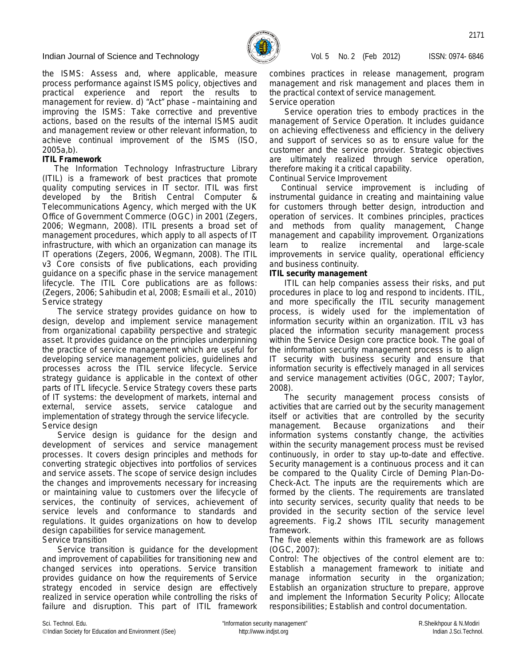

the ISMS: Assess and, where applicable, measure process performance against ISMS policy, objectives and practical experience and report the results to management for review. d) "Act" phase – maintaining and improving the ISMS: Take corrective and preventive actions, based on the results of the internal ISMS audit and management review or other relevant information, to achieve continual improvement of the ISMS (ISO, 2005a,b).

## **ITIL Framework**

The Information Technology Infrastructure Library (ITIL) is a framework of best practices that promote quality computing services in IT sector. ITIL was first developed by the British Central Computer & Telecommunications Agency, which merged with the UK Office of Government Commerce (OGC) in 2001 (Zegers, 2006; Wegmann, 2008). ITIL presents a broad set of management procedures, which apply to all aspects of IT infrastructure, with which an organization can manage its IT operations (Zegers, 2006, Wegmann, 2008). The ITIL v3 Core consists of five publications, each providing guidance on a specific phase in the service management lifecycle. The ITIL Core publications are as follows: (Zegers, 2006; Sahibudin *et al*, 2008; Esmaili *et al.*, 2010) *Service strategy*

The service strategy provides guidance on how to design, develop and implement service management from organizational capability perspective and strategic asset. It provides guidance on the principles underpinning the practice of service management which are useful for developing service management policies, guidelines and processes across the ITIL service lifecycle. Service strategy guidance is applicable in the context of other parts of ITL lifecycle. Service Strategy covers these parts of IT systems: the development of markets, internal and external, service assets, service catalogue and implementation of strategy through the service lifecycle. *Service design*

Service design is guidance for the design and development of services and service management processes. It covers design principles and methods for converting strategic objectives into portfolios of services and service assets. The scope of service design includes the changes and improvements necessary for increasing or maintaining value to customers over the lifecycle of services, the continuity of services, achievement of service levels and conformance to standards and regulations. It guides organizations on how to develop design capabilities for service management. *Service transition*

Service transition is guidance for the development and improvement of capabilities for transitioning new and changed services into operations. Service transition provides guidance on how the requirements of Service strategy encoded in service design are effectively realized in service operation while controlling the risks of failure and disruption. This part of ITIL framework

combines practices in release management, program management and risk management and places them in the practical context of service management. *Service operation*

Service operation tries to embody practices in the management of Service Operation. It includes guidance on achieving effectiveness and efficiency in the delivery and support of services so as to ensure value for the customer and the service provider. Strategic objectives are ultimately realized through service operation, therefore making it a critical capability.

*Continual Service Improvement*

Continual service improvement is including of instrumental guidance in creating and maintaining value for customers through better design, introduction and operation of services. It combines principles, practices and methods from quality management, Change management and capability improvement. Organizations learn to realize incremental and large-scale improvements in service quality, operational efficiency and business continuity.

## **ITIL security management**

ITIL can help companies assess their risks, and put procedures in place to log and respond to incidents. ITIL, and more specifically the ITIL security management process, is widely used for the implementation of information security within an organization. ITIL v3 has placed the information security management process within the Service Design core practice book. The goal of the information security management process is to align IT security with business security and ensure that information security is effectively managed in all services and service management activities (OGC, 2007; Taylor, 2008).

The security management process consists of activities that are carried out by the security management itself or activities that are controlled by the security management. Because organizations and their information systems constantly change, the activities within the security management process must be revised continuously, in order to stay up-to-date and effective. Security management is a continuous process and it can be compared to the Quality Circle of Deming Plan-Do-Check-Act. The inputs are the requirements which are formed by the clients. The requirements are translated into security services, security quality that needs to be provided in the security section of the service level agreements. Fig.2 shows ITIL security management framework.

The five elements within this framework are as follows (OGC, 2007):

*Control:* The objectives of the control element are to: Establish a management framework to initiate and manage information security in the organization; Establish an organization structure to prepare, approve and implement the Information Security Policy; Allocate responsibilities; Establish and control documentation.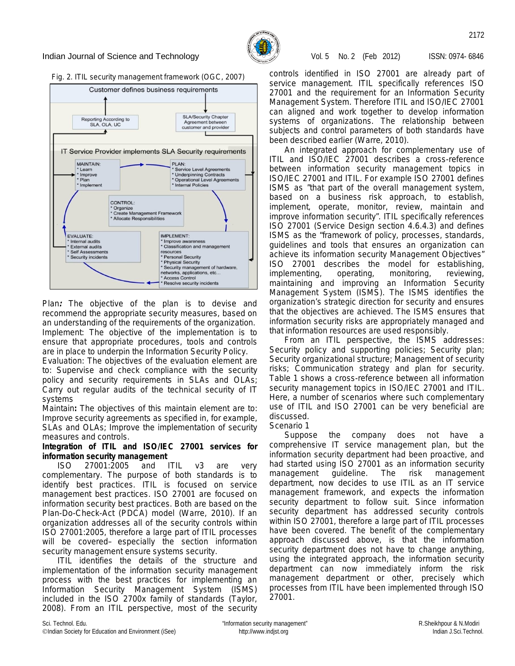

## *Fig. 2. ITIL security management framework (OGC, 2007)*



*Plan:* The objective of the plan is to devise and recommend the appropriate security measures, based on an understanding of the requirements of the organization. *Implement:* The objective of the implementation is to ensure that appropriate procedures, tools and controls are in place to underpin the Information Security Policy.

*Evaluation:* The objectives of the evaluation element are to: Supervise and check compliance with the security policy and security requirements in SLAs and OLAs; Carry out regular audits of the technical security of IT systems

*Maintain***:** The objectives of this maintain element are to: Improve security agreements as specified in, for example, SLAs and OLAs; Improve the implementation of security measures and controls.

**Integration of ITIL and ISO/IEC 27001 services for information security management**

ISO 27001:2005 and ITIL v3 are very complementary. The purpose of both standards is to identify best practices. ITIL is focused on service management best practices. ISO 27001 are focused on information security best practices. Both are based on the Plan-Do-Check-Act (PDCA) model (Warre, 2010). If an organization addresses all of the security controls within ISO 27001:2005, therefore a large part of ITIL processes will be covered– especially the section information security management ensure systems security.

ITIL identifies the details of the structure and implementation of the information security management process with the best practices for implementing an Information Security Management System (ISMS) included in the ISO 2700x family of standards (Taylor, 2008). From an ITIL perspective, most of the security

controls identified in ISO 27001 are already part of service management. ITIL specifically references ISO 27001 and the requirement for an Information Security Management System. Therefore ITIL and ISO/IEC 27001 can aligned and work together to develop information systems of organizations. The relationship between subjects and control parameters of both standards have been described earlier (Warre, 2010).

An integrated approach for complementary use of ITIL and ISO/IEC 27001 describes a cross-reference between information security management topics in ISO/IEC 27001 and ITIL. For example ISO 27001 defines ISMS as "that part of the overall management system, based on a business risk approach, to establish, implement, operate, monitor, review, maintain and improve information security". ITIL specifically references ISO 27001 (Service Design section 4.6.4.3) and defines ISMS as the "framework of policy, processes, standards, guidelines and tools that ensures an organization can achieve its information security Management Objectives" ISO 27001 describes the model for establishing, implementing, operating, monitoring, reviewing, maintaining and improving an Information Security Management System (ISMS). The ISMS identifies the organization's strategic direction for security and ensures that the objectives are achieved. The ISMS ensures that information security risks are appropriately managed and that information resources are used responsibly.

From an ITIL perspective, the ISMS addresses: Security policy and supporting policies; Security plan; Security organizational structure; Management of security risks; Communication strategy and plan for security. Table 1 shows a cross-reference between all information security management topics in ISO/IEC 27001 and ITIL. Here, a number of scenarios where such complementary use of ITIL and ISO 27001 can be very beneficial are discussed.

### *Scenario 1*

Suppose the company does not have a comprehensive IT service management plan, but the information security department had been proactive, and had started using ISO 27001 as an information security management guideline. The risk management department, now decides to use ITIL as an IT service management framework, and expects the information security department to follow suit. Since information security department has addressed security controls within ISO 27001, therefore a large part of ITIL processes have been covered. The benefit of the complementary approach discussed above, is that the information security department does not have to change anything, using the integrated approach, the information security department can now immediately inform the risk management department or other, precisely which processes from ITIL have been implemented through ISO 27001.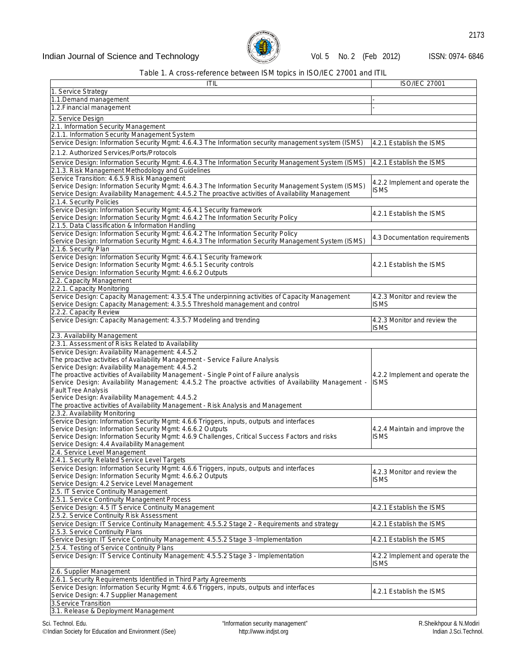

## *Table 1. A cross-reference between ISM topics in ISO/IEC 27001 and ITIL*

| ITIL                                                                                                                                          | <b>ISO/IEC 27001</b>                           |
|-----------------------------------------------------------------------------------------------------------------------------------------------|------------------------------------------------|
| 1. Service Strategy                                                                                                                           |                                                |
| 1.1.Demand management                                                                                                                         |                                                |
| 1.2. Financial management                                                                                                                     |                                                |
| 2. Service Design                                                                                                                             |                                                |
| 2.1. Information Security Management                                                                                                          |                                                |
| 2.1.1. Information Security Management System                                                                                                 |                                                |
| Service Design: Information Security Mgmt: 4.6.4.3 The Information security management system (ISMS)                                          | 4.2.1 Establish the ISMS                       |
| 2.1.2. Authorized Services/Ports/Protocols                                                                                                    |                                                |
| Service Design: Information Security Mgmt: 4.6.4.3 The Information Security Management System (ISMS)                                          | 4.2.1 Establish the ISMS                       |
| 2.1.3. Risk Management Methodology and Guidelines                                                                                             |                                                |
| Service Transition: 4.6.5.9 Risk Management                                                                                                   |                                                |
| Service Design: Information Security Mgmt: 4.6.4.3 The Information Security Management System (ISMS)                                          | 4.2.2 Implement and operate the                |
| Service Design: Availability Management: 4.4.5.2 The proactive activities of Availability Management                                          | <b>ISMS</b>                                    |
| 2.1.4. Security Policies                                                                                                                      |                                                |
| Service Design: Information Security Mgmt: 4.6.4.1 Security framework                                                                         | 4.2.1 Establish the ISMS                       |
| Service Design: Information Security Mgmt: 4.6.4.2 The Information Security Policy                                                            |                                                |
| 2.1.5. Data Classification & Information Handling                                                                                             |                                                |
| Service Design: Information Security Mgmt: 4.6.4.2 The Information Security Policy                                                            | 4.3 Documentation requirements                 |
| Service Design: Information Security Mgmt: 4.6.4.3 The Information Security Management System (ISMS)                                          |                                                |
| 2.1.6. Security Plan                                                                                                                          |                                                |
| Service Design: Information Security Mgmt: 4.6.4.1 Security framework<br>Service Design: Information Security Mgmt: 4.6.5.1 Security controls | 4.2.1 Establish the ISMS                       |
| Service Design: Information Security Mgmt: 4.6.6.2 Outputs                                                                                    |                                                |
| 2.2. Capacity Management                                                                                                                      |                                                |
| 2.2.1. Capacity Monitoring                                                                                                                    |                                                |
| Service Design: Capacity Management: 4.3.5.4 The underpinning activities of Capacity Management                                               | 4.2.3 Monitor and review the                   |
| Service Design: Capacity Management: 4.3.5.5 Threshold management and control                                                                 | <b>ISMS</b>                                    |
| 2.2.2. Capacity Review                                                                                                                        |                                                |
| Service Design: Capacity Management: 4.3.5.7 Modeling and trending                                                                            | 4.2.3 Monitor and review the                   |
|                                                                                                                                               | <b>ISMS</b>                                    |
| 2.3. Availability Management                                                                                                                  |                                                |
| 2.3.1. Assessment of Risks Related to Availability                                                                                            |                                                |
| Service Design: Availability Management: 4.4.5.2                                                                                              |                                                |
| The proactive activities of Availability Management - Service Failure Analysis                                                                |                                                |
| Service Design: Availability Management: 4.4.5.2<br>The proactive activities of Availability Management - Single Point of Failure analysis    |                                                |
| Service Design: Availability Management: 4.4.5.2 The proactive activities of Availability Management -                                        | 4.2.2 Implement and operate the<br><b>ISMS</b> |
| <b>Fault Tree Analysis</b>                                                                                                                    |                                                |
| Service Design: Availability Management: 4.4.5.2                                                                                              |                                                |
| The proactive activities of Availability Management - Risk Analysis and Management                                                            |                                                |
| 2.3.2. Availability Monitoring                                                                                                                |                                                |
| Service Design: Information Security Mgmt: 4.6.6 Triggers, inputs, outputs and interfaces                                                     |                                                |
| Service Design: Information Security Mgmt: 4.6.6.2 Outputs                                                                                    | 4.2.4 Maintain and improve the                 |
| Service Design: Information Security Mgmt: 4.6.9 Challenges, Critical Success Factors and risks                                               | <b>ISMS</b>                                    |
| Service Design: 4.4 Availability Management                                                                                                   |                                                |
| 2.4. Service Level Management                                                                                                                 |                                                |
| 2.4.1. Security Related Service Level Targets<br>Service Design: Information Security Mgmt: 4.6.6 Triggers, inputs, outputs and interfaces    |                                                |
| Service Design: Information Security Mgmt: 4.6.6.2 Outputs                                                                                    | 4.2.3 Monitor and review the                   |
| Service Design: 4.2 Service Level Management                                                                                                  | <b>ISMS</b>                                    |
| 2.5. IT Service Continuity Management                                                                                                         |                                                |
| 2.5.1. Service Continuity Management Process                                                                                                  |                                                |
| Service Design: 4.5 IT Service Continuity Management                                                                                          | 4.2.1 Establish the ISMS                       |
| 2.5.2. Service Continuity Risk Assessment                                                                                                     |                                                |
| Service Design: IT Service Continuity Management: 4.5.5.2 Stage 2 - Requirements and strategy                                                 | 4.2.1 Establish the ISMS                       |
| 2.5.3. Service Continuity Plans                                                                                                               |                                                |
| Service Design: IT Service Continuity Management: 4.5.5.2 Stage 3 - Implementation                                                            | 4.2.1 Establish the ISMS                       |
| 2.5.4. Testing of Service Continuity Plans                                                                                                    |                                                |
| Service Design: IT Service Continuity Management: 4.5.5.2 Stage 3 - Implementation                                                            | 4.2.2 Implement and operate the                |
|                                                                                                                                               | <b>ISMS</b>                                    |
| 2.6. Supplier Management                                                                                                                      |                                                |
| 2.6.1. Security Requirements Identified in Third Party Agreements                                                                             |                                                |
| Service Design: Information Security Mgmt: 4.6.6 Triggers, inputs, outputs and interfaces                                                     | 4.2.1 Establish the ISMS                       |
| Service Design: 4.7 Supplier Management<br>3. Service Transition                                                                              |                                                |
| 3.1. Release & Deployment Management                                                                                                          |                                                |
|                                                                                                                                               |                                                |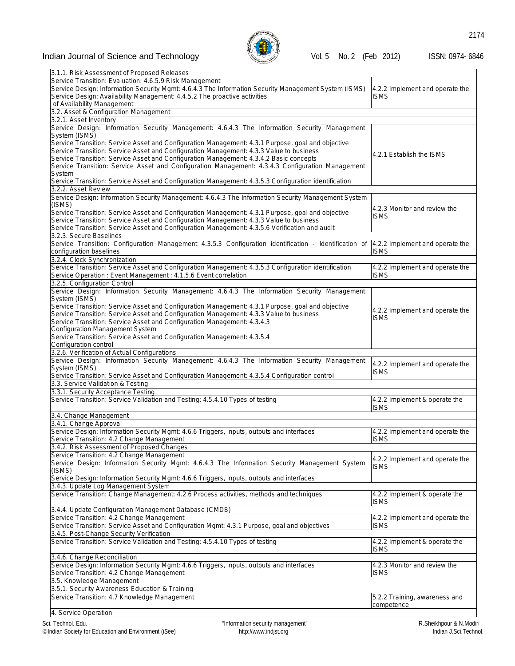

| 3.1.1. Risk Assessment of Proposed Releases                                                           |                                 |
|-------------------------------------------------------------------------------------------------------|---------------------------------|
| Service Transition: Evaluation: 4.6.5.9 Risk Management                                               |                                 |
| Service Design: Information Security Mgmt: 4.6.4.3 The Information Security Management System (ISMS)  | 4.2.2 Implement and operate the |
| Service Design: Availability Management: 4.4.5.2 The proactive activities                             | ISMS                            |
|                                                                                                       |                                 |
| of Availability Management                                                                            |                                 |
| 3.2. Asset & Configuration Management                                                                 |                                 |
| 3.2.1. Asset Inventory                                                                                |                                 |
|                                                                                                       |                                 |
| Service Design: Information Security Management: 4.6.4.3 The Information Security Management          |                                 |
| System (ISMS)                                                                                         |                                 |
| Service Transition: Service Asset and Configuration Management: 4.3.1 Purpose, goal and objective     |                                 |
| Service Transition: Service Asset and Configuration Management: 4.3.3 Value to business               |                                 |
|                                                                                                       | 4.2.1 Establish the ISMS        |
| Service Transition: Service Asset and Configuration Management: 4.3.4.2 Basic concepts                |                                 |
| Service Transition: Service Asset and Configuration Management: 4.3.4.3 Configuration Management      |                                 |
| System                                                                                                |                                 |
|                                                                                                       |                                 |
| Service Transition: Service Asset and Configuration Management: 4.3.5.3 Configuration identification  |                                 |
| 3.2.2. Asset Review                                                                                   |                                 |
| Service Design: Information Security Management: 4.6.4.3 The Information Security Management System   |                                 |
| (ISMS)                                                                                                |                                 |
|                                                                                                       | 4.2.3 Monitor and review the    |
| Service Transition: Service Asset and Configuration Management: 4.3.1 Purpose, goal and objective     | ISMS                            |
| Service Transition: Service Asset and Configuration Management: 4.3.3 Value to business               |                                 |
| Service Transition: Service Asset and Configuration Management: 4.3.5.6 Verification and audit        |                                 |
|                                                                                                       |                                 |
| 3.2.3. Secure Baselines                                                                               |                                 |
| Service Transition: Configuration Management 4.3.5.3 Configuration identification - Identification of | 4.2.2 Implement and operate the |
| configuration baselines                                                                               | <b>ISMS</b>                     |
|                                                                                                       |                                 |
| 3.2.4. Clock Synchronization                                                                          |                                 |
| Service Transition: Service Asset and Configuration Management: 4.3.5.3 Configuration identification  | 4.2.2 Implement and operate the |
| Service Operation : Event Management : 4.1.5.6 Event correlation                                      | ISMS                            |
|                                                                                                       |                                 |
| 3.2.5. Configuration Control                                                                          |                                 |
| Service Design: Information Security Management: 4.6.4.3 The Information Security Management          |                                 |
| System (ISMS)                                                                                         |                                 |
| Service Transition: Service Asset and Configuration Management: 4.3.1 Purpose, goal and objective     |                                 |
|                                                                                                       | 4.2.2 Implement and operate the |
| Service Transition: Service Asset and Configuration Management: 4.3.3 Value to business               | ISMS                            |
| Service Transition: Service Asset and Configuration Management: 4.3.4.3                               |                                 |
| Configuration Management System                                                                       |                                 |
| Service Transition: Service Asset and Configuration Management: 4.3.5.4                               |                                 |
|                                                                                                       |                                 |
|                                                                                                       |                                 |
| Configuration control                                                                                 |                                 |
|                                                                                                       |                                 |
| 3.2.6. Verification of Actual Configurations                                                          |                                 |
| Service Design: Information Security Management: 4.6.4.3 The Information Security Management          |                                 |
| System (ISMS)                                                                                         | 4.2.2 Implement and operate the |
|                                                                                                       | <b>ISMS</b>                     |
| Service Transition: Service Asset and Configuration Management: 4.3.5.4 Configuration control         |                                 |
| 3.3. Service Validation & Testing                                                                     |                                 |
| 3.3.1. Security Acceptance Testing                                                                    |                                 |
| Service Transition: Service Validation and Testing: 4.5.4.10 Types of testing                         | 4.2.2 Implement & operate the   |
|                                                                                                       |                                 |
|                                                                                                       | ISMS                            |
| 3.4. Change Management                                                                                |                                 |
| 3.4.1. Change Approval                                                                                |                                 |
|                                                                                                       |                                 |
| Service Design: Information Security Mgmt: 4.6.6 Triggers, inputs, outputs and interfaces             | 4.2.2 Implement and operate the |
| Service Transition: 4.2 Change Management                                                             | ISMS                            |
| 3.4.2. Risk Assessment of Proposed Changes                                                            |                                 |
|                                                                                                       |                                 |
| Service Transition: 4.2 Change Management                                                             | 4.2.2 Implement and operate the |
| Service Design: Information Security Mgmt: 4.6.4.3 The Information Security Management System         | ISMS                            |
| (ISMS)                                                                                                |                                 |
| Service Design: Information Security Mgmt: 4.6.6 Triggers, inputs, outputs and interfaces             |                                 |
|                                                                                                       |                                 |
| 3.4.3. Update Log Management System                                                                   |                                 |
| Service Transition: Change Management: 4.2.6 Process activities, methods and techniques               | 4.2.2 Implement & operate the   |
|                                                                                                       | ISMS                            |
|                                                                                                       |                                 |
| 3.4.4. Update Configuration Management Database (CMDB)                                                |                                 |
| Service Transition: 4.2 Change Management                                                             | 4.2.2 Implement and operate the |
| Service Transition: Service Asset and Configuration Mgmt: 4.3.1 Purpose, goal and objectives          | ISMS                            |
|                                                                                                       |                                 |
| 3.4.5. Post-Change Security Verification                                                              |                                 |
| Service Transition: Service Validation and Testing: 4.5.4.10 Types of testing                         | 4.2.2 Implement & operate the   |
|                                                                                                       | ISMS                            |
| 3.4.6. Change Reconciliation                                                                          |                                 |
|                                                                                                       |                                 |
| Service Design: Information Security Mgmt: 4.6.6 Triggers, inputs, outputs and interfaces             | 4.2.3 Monitor and review the    |
| Service Transition: 4.2 Change Management                                                             | ISMS                            |
| 3.5. Knowledge Management                                                                             |                                 |
|                                                                                                       |                                 |
| 3.5.1. Security Awareness Education & Training                                                        |                                 |
| Service Transition: 4.7 Knowledge Management                                                          | 5.2.2 Training, awareness and   |
| 4. Service Operation                                                                                  | competence                      |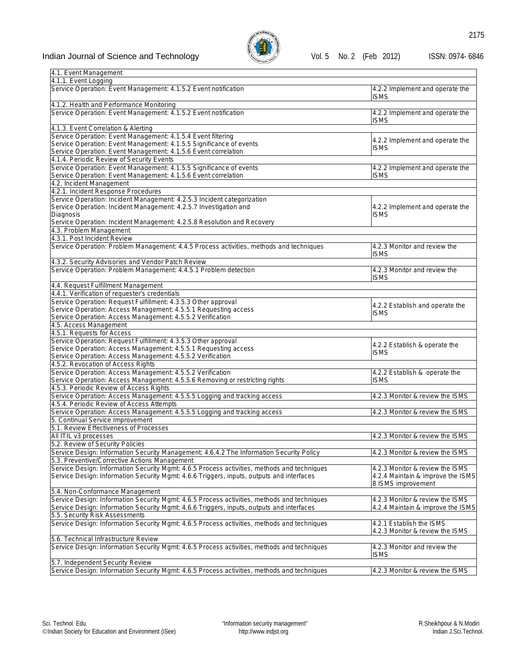

| 4.1. Event Management                                                                                                         |                                                         |
|-------------------------------------------------------------------------------------------------------------------------------|---------------------------------------------------------|
| 4.1.1. Event Logging                                                                                                          |                                                         |
| Service Operation: Event Management: 4.1.5.2 Event notification                                                               | 4.2.2 Implement and operate the                         |
|                                                                                                                               | <b>ISMS</b>                                             |
| 4.1.2. Health and Performance Monitoring                                                                                      |                                                         |
| Service Operation: Event Management: 4.1.5.2 Event notification                                                               | 4.2.2 Implement and operate the                         |
|                                                                                                                               | <b>ISMS</b>                                             |
| 4.1.3. Event Correlation & Alerting                                                                                           |                                                         |
| Service Operation: Event Management: 4.1.5.4 Event filtering                                                                  | 4.2.2 Implement and operate the                         |
| Service Operation: Event Management: 4.1.5.5 Significance of events                                                           | <b>ISMS</b>                                             |
| Service Operation: Event Management: 4.1.5.6 Event correlation                                                                |                                                         |
| 4.1.4. Periodic Review of Security Events                                                                                     |                                                         |
| Service Operation: Event Management: 4.1.5.5 Significance of events                                                           | 4.2.2 Implement and operate the                         |
| Service Operation: Event Management: 4.1.5.6 Event correlation                                                                | <b>ISMS</b>                                             |
| 4.2. Incident Management                                                                                                      |                                                         |
| 4.2.1. Incident Response Procedures                                                                                           |                                                         |
| Service Operation: Incident Management: 4.2.5.3 Incident categorization                                                       |                                                         |
| Service Operation: Incident Management: 4.2.5.7 Investigation and                                                             | 4.2.2 Implement and operate the                         |
| Diagnosis                                                                                                                     | <b>ISMS</b>                                             |
| Service Operation: Incident Management: 4.2.5.8 Resolution and Recovery                                                       |                                                         |
| 4.3. Problem Management                                                                                                       |                                                         |
| 4.3.1. Post Incident Review                                                                                                   |                                                         |
| Service Operation: Problem Management: 4.4.5 Process activities, methods and techniques                                       | 4.2.3 Monitor and review the                            |
|                                                                                                                               | <b>ISMS</b>                                             |
| 4.3.2. Security Advisories and Vendor Patch Review                                                                            |                                                         |
| Service Operation: Problem Management: 4.4.5.1 Problem detection                                                              | 4.2.3 Monitor and review the                            |
|                                                                                                                               | <b>ISMS</b>                                             |
| 4.4. Request Fulfillment Management                                                                                           |                                                         |
| 4.4.1. Verification of requester's credentials<br>Service Operation: Request Fulfillment: 4.3.5.3 Other approval              |                                                         |
| Service Operation: Access Management: 4.5.5.1 Requesting access                                                               | 4.2.2 Establish and operate the                         |
| Service Operation: Access Management: 4.5.5.2 Verification                                                                    | <b>ISMS</b>                                             |
| 4.5. Access Management                                                                                                        |                                                         |
| 4.5.1. Requests for Access                                                                                                    |                                                         |
| Service Operation: Request Fulfillment: 4.3.5.3 Other approval                                                                |                                                         |
| Service Operation: Access Management: 4.5.5.1 Requesting access                                                               | 4.2.2 Establish & operate the                           |
| Service Operation: Access Management: 4.5.5.2 Verification                                                                    | <b>ISMS</b>                                             |
| 4.5.2. Revocation of Access Rights                                                                                            |                                                         |
| Service Operation: Access Management: 4.5.5.2 Verification                                                                    | 4.2.2 Establish & operate the                           |
| Service Operation: Access Management: 4.5.5.6 Removing or restricting rights                                                  | <b>ISMS</b>                                             |
| 4.5.3. Periodic Review of Access Rights                                                                                       |                                                         |
| Service Operation: Access Management: 4.5.5.5 Logging and tracking access                                                     | 4.2.3 Monitor & review the ISMS                         |
| 4.5.4. Periodic Review of Access Attempts                                                                                     |                                                         |
| Service Operation: Access Management: 4.5.5.5 Logging and tracking access                                                     | 4.2.3 Monitor & review the ISMS                         |
| 5. Continual Service Improvement                                                                                              |                                                         |
| 5.1. Review Effectiveness of Processes                                                                                        |                                                         |
| All ITIL v3 processes                                                                                                         | 4.2.3 Monitor & review the ISMS                         |
| 5.2. Review of Security Policies                                                                                              |                                                         |
|                                                                                                                               |                                                         |
| Service Design: Information Security Management: 4.6.4.2 The Information Security Policy                                      | 4.2.3 Monitor & review the ISMS                         |
| 5.3. Preventive/Corrective Actions Management                                                                                 |                                                         |
| Service Design: Information Security Mgmt: 4.6.5 Process activities, methods and techniques                                   | 4.2.3 Monitor & review the ISMS                         |
| Service Design: Information Security Mgmt: 4.6.6 Triggers, inputs, outputs and interfaces                                     | 4.2.4 Maintain & improve the ISMS<br>8 ISMS improvement |
| 5.4. Non-Conformance Management                                                                                               |                                                         |
| Service Design: Information Security Mgmt: 4.6.5 Process activities, methods and techniques                                   | 4.2.3 Monitor & review the ISMS                         |
|                                                                                                                               | 4.2.4 Maintain & improve the ISMS                       |
| Service Design: Information Security Mgmt: 4.6.6 Triggers, inputs, outputs and interfaces                                     |                                                         |
| 5.5. Security Risk Assessments<br>Service Design: Information Security Mgmt: 4.6.5 Process activities, methods and techniques |                                                         |
|                                                                                                                               | 4.2.1 Establish the ISMS                                |
|                                                                                                                               | 4.2.3 Monitor & review the ISMS                         |
| 5.6. Technical Infrastructure Review                                                                                          |                                                         |
| Service Design: Information Security Mgmt: 4.6.5 Process activities, methods and techniques                                   | 4.2.3 Monitor and review the                            |
|                                                                                                                               | isms                                                    |
| 5.7. Independent Security Review                                                                                              |                                                         |
| Service Design: Information Security Mgmt: 4.6.5 Process activities, methods and techniques                                   | 4.2.3 Monitor & review the ISMS                         |